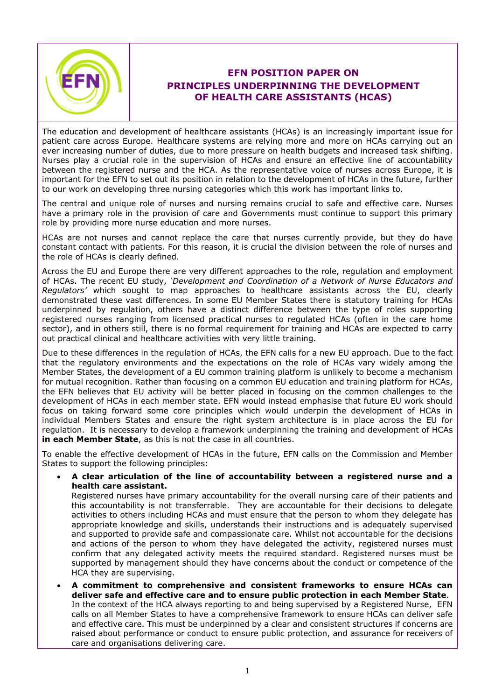

## **EFN POSITION PAPER ON PRINCIPLES UNDERPINNING THE DEVELOPMENT OF HEALTH CARE ASSISTANTS (HCAS)**

The education and development of healthcare assistants (HCAs) is an increasingly important issue for patient care across Europe. Healthcare systems are relying more and more on HCAs carrying out an ever increasing number of duties, due to more pressure on health budgets and increased task shifting. Nurses play a crucial role in the supervision of HCAs and ensure an effective line of accountability between the registered nurse and the HCA. As the representative voice of nurses across Europe, it is important for the EFN to set out its position in relation to the development of HCAs in the future, further to our work on developing three nursing categories which this work has important links to.

The central and unique role of nurses and nursing remains crucial to safe and effective care. Nurses have a primary role in the provision of care and Governments must continue to support this primary role by providing more nurse education and more nurses.

HCAs are not nurses and cannot replace the care that nurses currently provide, but they do have constant contact with patients. For this reason, it is crucial the division between the role of nurses and the role of HCAs is clearly defined.

Across the EU and Europe there are very different approaches to the role, regulation and employment of HCAs. The recent EU study, *'Development and Coordination of a Network of Nurse Educators and Regulators'* which sought to map approaches to healthcare assistants across the EU, clearly demonstrated these vast differences. In some EU Member States there is statutory training for HCAs underpinned by regulation, others have a distinct difference between the type of roles supporting registered nurses ranging from licensed practical nurses to regulated HCAs (often in the care home sector), and in others still, there is no formal requirement for training and HCAs are expected to carry out practical clinical and healthcare activities with very little training.

Due to these differences in the regulation of HCAs, the EFN calls for a new EU approach. Due to the fact that the regulatory environments and the expectations on the role of HCAs vary widely among the Member States, the development of a EU common training platform is unlikely to become a mechanism for mutual recognition. Rather than focusing on a common EU education and training platform for HCAs, the EFN believes that EU activity will be better placed in focusing on the common challenges to the development of HCAs in each member state. EFN would instead emphasise that future EU work should focus on taking forward some core principles which would underpin the development of HCAs in individual Members States and ensure the right system architecture is in place across the EU for regulation. It is necessary to develop a framework underpinning the training and development of HCAs **in each Member State**, as this is not the case in all countries.

To enable the effective development of HCAs in the future, EFN calls on the Commission and Member States to support the following principles:

 **A clear articulation of the line of accountability between a registered nurse and a health care assistant.**

Registered nurses have primary accountability for the overall nursing care of their patients and this accountability is not transferrable. They are accountable for their decisions to delegate activities to others including HCAs and must ensure that the person to whom they delegate has appropriate knowledge and skills, understands their instructions and is adequately supervised and supported to provide safe and compassionate care. Whilst not accountable for the decisions and actions of the person to whom they have delegated the activity, registered nurses must confirm that any delegated activity meets the required standard. Registered nurses must be supported by management should they have concerns about the conduct or competence of the HCA they are supervising.

 **A commitment to comprehensive and consistent frameworks to ensure HCAs can deliver safe and effective care and to ensure public protection in each Member State**. In the context of the HCA always reporting to and being supervised by a Registered Nurse, EFN calls on all Member States to have a comprehensive framework to ensure HCAs can deliver safe and effective care. This must be underpinned by a clear and consistent structures if concerns are raised about performance or conduct to ensure public protection, and assurance for receivers of care and organisations delivering care.